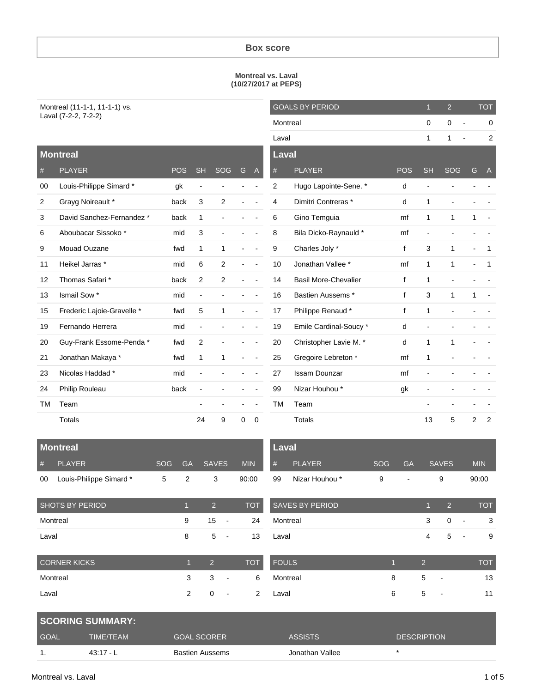#### **Box score**

#### **Montreal vs. Laval (10/27/2017 at PEPS)**

| Montreal (11-1-1, 11-1-1) vs. |
|-------------------------------|
| Laval (7-2-2, 7-2-2)          |

| Montreal (11-1-1, 11-1-1) vs. |                            |            |                          |                          |   | <b>GOALS BY PERIOD</b> |           | $\mathbf{1}$                | $\overline{2}$ |              | <b>TOT</b>                    |   |                |
|-------------------------------|----------------------------|------------|--------------------------|--------------------------|---|------------------------|-----------|-----------------------------|----------------|--------------|-------------------------------|---|----------------|
| Laval (7-2-2, 7-2-2)          |                            |            |                          |                          |   |                        | Montreal  |                             |                |              | $\mathbf 0$<br>$\blacksquare$ |   | $\mathbf 0$    |
|                               |                            |            |                          |                          |   |                        | Laval     |                             |                | $\mathbf{1}$ | 1                             |   | $\overline{2}$ |
|                               | <b>Montreal</b>            |            |                          |                          |   |                        | Laval     |                             |                |              |                               |   |                |
| $\#$                          | <b>PLAYER</b>              | <b>POS</b> | <b>SH</b>                | SOG                      | G | $\mathsf{A}$           | #         | <b>PLAYER</b>               | <b>POS</b>     | <b>SH</b>    | SOG                           | G | $\mathsf{A}$   |
| 00                            | Louis-Philippe Simard*     | gk         | $\blacksquare$           |                          |   |                        | 2         | Hugo Lapointe-Sene. *       | d              |              |                               |   |                |
| 2                             | Grayg Noireault *          | back       | 3                        | $\mathbf{2}$             |   |                        | 4         | Dimitri Contreras *         | d              | 1            |                               |   |                |
| 3                             | David Sanchez-Fernandez *  | back       | 1                        | ÷.                       |   |                        | 6         | Gino Temguia                | mf             | $\mathbf{1}$ | 1                             | 1 |                |
| 6                             | Aboubacar Sissoko*         | mid        | 3                        | $\overline{\phantom{0}}$ |   |                        | 8         | Bila Dicko-Raynauld *       | mf             |              |                               |   |                |
| 9                             | Mouad Ouzane               | fwd        | 1                        | 1                        |   |                        | 9         | Charles Joly *              | f              | 3            | 1                             |   | $\mathbf 1$    |
| 11                            | Heikel Jarras *            | mid        | 6                        | $\overline{2}$           |   |                        | 10        | Jonathan Vallee *           | mf             | $\mathbf{1}$ | 1                             |   | $\mathbf 1$    |
| 12                            | Thomas Safari *            | back       | 2                        | $\overline{c}$           |   |                        | 14        | <b>Basil More-Chevalier</b> | f              | 1            |                               |   |                |
| 13                            | Ismail Sow *               | mid        | $\blacksquare$           |                          |   |                        | 16        | Bastien Aussems*            | f              | 3            | 1                             | 1 |                |
| 15                            | Frederic Lajoie-Gravelle * | fwd        | 5                        | $\mathbf{1}$             |   |                        | 17        | Philippe Renaud *           | f              | 1            |                               |   |                |
| 19                            | Fernando Herrera           | mid        | $\overline{\phantom{a}}$ |                          |   |                        | 19        | Emile Cardinal-Soucy *      | d              |              |                               |   |                |
| 20                            | Guy-Frank Essome-Penda *   | fwd        | 2                        | $\overline{a}$           |   |                        | 20        | Christopher Lavie M. *      | d              | $\mathbf{1}$ | 1                             |   |                |
| 21                            | Jonathan Makaya *          | fwd        | $\mathbf{1}$             | 1                        |   |                        | 25        | Gregoire Lebreton *         | mf             | 1            |                               |   |                |
| 23                            | Nicolas Haddad *           | mid        |                          |                          |   |                        | 27        | <b>Issam Dounzar</b>        | mf             |              |                               |   |                |
| 24                            | Philip Rouleau             | back       |                          |                          |   |                        | 99        | Nizar Houhou *              | gk             |              |                               |   |                |
| TM                            | Team                       |            |                          |                          |   |                        | <b>TM</b> | Team                        |                |              |                               |   |                |
|                               | <b>Totals</b>              |            | 24                       | 9                        | 0 | 0                      |           | Totals                      |                | 13           | 5                             | 2 | 2              |

| <b>Montreal</b>     |                        |            |                |                               |                | <b>Laval</b>         |                        |            |                |                |                          |                          |            |
|---------------------|------------------------|------------|----------------|-------------------------------|----------------|----------------------|------------------------|------------|----------------|----------------|--------------------------|--------------------------|------------|
| #                   | <b>PLAYER</b>          | <b>SOG</b> | <b>GA</b>      | <b>SAVES</b>                  | <b>MIN</b>     | #                    | <b>PLAYER</b>          | <b>SOG</b> | <b>GA</b>      |                | <b>SAVES</b>             |                          | <b>MIN</b> |
| 00                  | Louis-Philippe Simard* | 5          | 2              | 3                             | 90:00          | Nizar Houhou *<br>99 |                        | 9          | $\blacksquare$ | 9              |                          | 90:00                    |            |
|                     | <b>SHOTS BY PERIOD</b> |            | $\overline{1}$ | 2                             | <b>TOT</b>     |                      | <b>SAVES BY PERIOD</b> |            |                | 1              | 2                        |                          | <b>TOT</b> |
| Montreal            |                        |            | 9              | 15<br>$\blacksquare$          | 24             |                      | Montreal               |            |                | 3              | $\mathbf 0$              | $\blacksquare$           | 3          |
| Laval               |                        |            | 8              | 5<br>$\blacksquare$           | 13             | Laval                |                        |            |                | 4              | 5                        | $\overline{\phantom{a}}$ | 9          |
| <b>CORNER KICKS</b> |                        |            |                | 2                             | <b>TOT</b>     | FOULS                |                        | П          |                | $\overline{2}$ |                          |                          | <b>TOT</b> |
|                     | Montreal               |            | 3              | 3<br>$\blacksquare$           | 6              | Montreal             |                        | 8          |                | 5              | $\overline{\phantom{a}}$ |                          | 13         |
| Laval               |                        |            | $\overline{2}$ | 0<br>$\overline{\phantom{a}}$ | $\overline{2}$ | Laval                |                        | 6          |                | 5              | $\blacksquare$           |                          | 11         |

|             | <b>SCORING SUMMARY:</b> |                    |                 |                    |
|-------------|-------------------------|--------------------|-----------------|--------------------|
| <b>GOAL</b> | TIME/TEAM               | <b>GOAL SCORER</b> | <b>ASSISTS</b>  | <b>DESCRIPTION</b> |
|             | $43:17 - L$             | Bastien Aussems    | Jonathan Vallee |                    |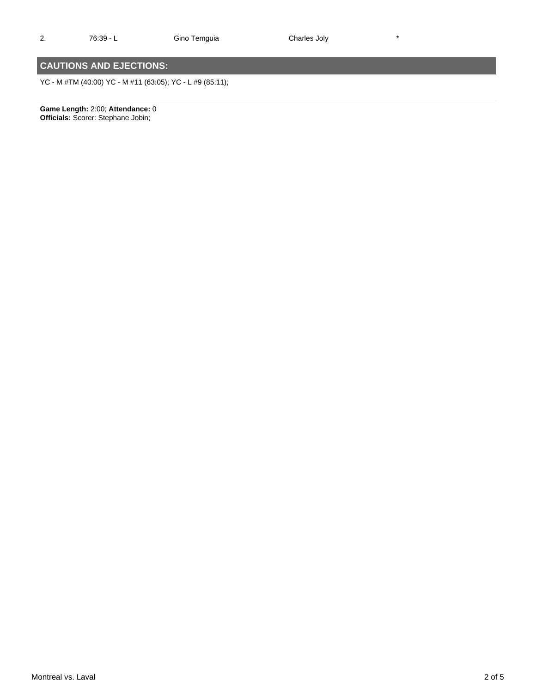2. 76:39 - L Gino Temguia Charles Joly \*

## **CAUTIONS AND EJECTIONS:**

YC - M #TM (40:00) YC - M #11 (63:05); YC - L #9 (85:11);

**Game Length:** 2:00; **Attendance:** 0 **Officials:** Scorer: Stephane Jobin;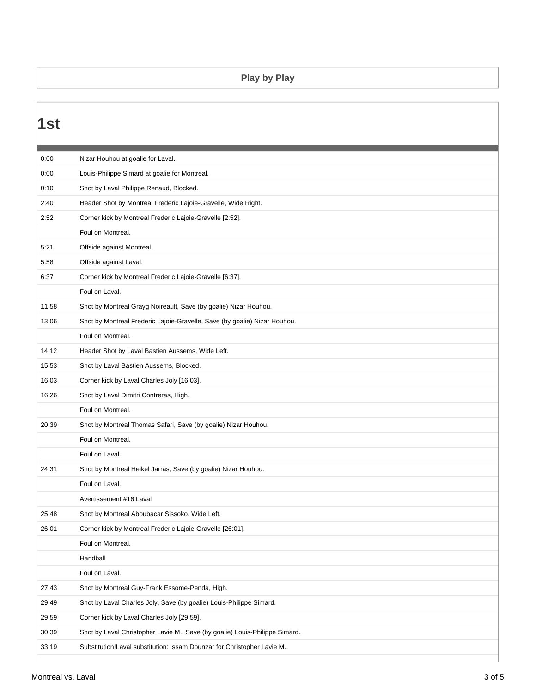### **Play by Play**

| 0:00  | Nizar Houhou at goalie for Laval.                                           |
|-------|-----------------------------------------------------------------------------|
| 0:00  | Louis-Philippe Simard at goalie for Montreal.                               |
| 0:10  | Shot by Laval Philippe Renaud, Blocked.                                     |
| 2:40  | Header Shot by Montreal Frederic Lajoie-Gravelle, Wide Right.               |
| 2:52  | Corner kick by Montreal Frederic Lajoie-Gravelle [2:52].                    |
|       | Foul on Montreal.                                                           |
| 5:21  | Offside against Montreal.                                                   |
| 5:58  | Offside against Laval.                                                      |
| 6:37  | Corner kick by Montreal Frederic Lajoie-Gravelle [6:37].                    |
|       | Foul on Laval.                                                              |
| 11:58 | Shot by Montreal Grayg Noireault, Save (by goalie) Nizar Houhou.            |
| 13:06 | Shot by Montreal Frederic Lajoie-Gravelle, Save (by goalie) Nizar Houhou.   |
|       | Foul on Montreal.                                                           |
| 14:12 | Header Shot by Laval Bastien Aussems, Wide Left.                            |
| 15:53 | Shot by Laval Bastien Aussems, Blocked.                                     |
| 16:03 | Corner kick by Laval Charles Joly [16:03].                                  |
| 16:26 | Shot by Laval Dimitri Contreras, High.                                      |
|       | Foul on Montreal.                                                           |
| 20:39 | Shot by Montreal Thomas Safari, Save (by goalie) Nizar Houhou.              |
|       | Foul on Montreal.                                                           |
|       | Foul on Laval.                                                              |
| 24:31 | Shot by Montreal Heikel Jarras, Save (by goalie) Nizar Houhou.              |
|       | Foul on Laval.                                                              |
|       | Avertissement #16 Laval                                                     |
| 25:48 | Shot by Montreal Aboubacar Sissoko, Wide Left.                              |
| 26:01 | Corner kick by Montreal Frederic Lajoie-Gravelle [26:01].                   |
|       | Foul on Montreal.                                                           |
|       | Handball                                                                    |
|       | Foul on Laval.                                                              |
| 27:43 | Shot by Montreal Guy-Frank Essome-Penda, High.                              |
| 29:49 | Shot by Laval Charles Joly, Save (by goalie) Louis-Philippe Simard.         |
| 29:59 | Corner kick by Laval Charles Joly [29:59].                                  |
| 30:39 | Shot by Laval Christopher Lavie M., Save (by goalie) Louis-Philippe Simard. |
| 33:19 | Substitution!Laval substitution: Issam Dounzar for Christopher Lavie M      |
|       |                                                                             |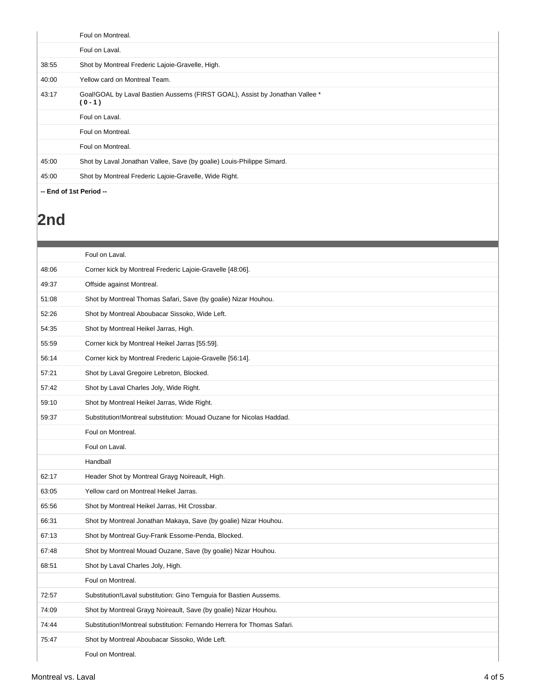|                         | Foul on Montreal.                                                                         |
|-------------------------|-------------------------------------------------------------------------------------------|
|                         | Foul on Laval.                                                                            |
| 38:55                   | Shot by Montreal Frederic Lajoie-Gravelle, High.                                          |
| 40:00                   | Yellow card on Montreal Team.                                                             |
| 43:17                   | Goal!GOAL by Laval Bastien Aussems (FIRST GOAL), Assist by Jonathan Vallee *<br>$(0 - 1)$ |
|                         | Foul on Laval.                                                                            |
|                         | Foul on Montreal.                                                                         |
|                         | Foul on Montreal.                                                                         |
| 45:00                   | Shot by Laval Jonathan Vallee, Save (by goalie) Louis-Philippe Simard.                    |
| 45:00                   | Shot by Montreal Frederic Lajoie-Gravelle, Wide Right.                                    |
| -- End of 1st Period -- |                                                                                           |

# **2nd**

|       | Foul on Laval.                                                          |
|-------|-------------------------------------------------------------------------|
| 48:06 | Corner kick by Montreal Frederic Lajoie-Gravelle [48:06].               |
| 49:37 | Offside against Montreal.                                               |
| 51:08 | Shot by Montreal Thomas Safari, Save (by goalie) Nizar Houhou.          |
| 52:26 | Shot by Montreal Aboubacar Sissoko, Wide Left.                          |
| 54:35 | Shot by Montreal Heikel Jarras, High.                                   |
| 55:59 | Corner kick by Montreal Heikel Jarras [55:59].                          |
| 56:14 | Corner kick by Montreal Frederic Lajoie-Gravelle [56:14].               |
| 57:21 | Shot by Laval Gregoire Lebreton, Blocked.                               |
| 57:42 | Shot by Laval Charles Joly, Wide Right.                                 |
| 59:10 | Shot by Montreal Heikel Jarras, Wide Right.                             |
| 59:37 | Substitution!Montreal substitution: Mouad Ouzane for Nicolas Haddad.    |
|       | Foul on Montreal.                                                       |
|       | Foul on Laval.                                                          |
|       | Handball                                                                |
| 62:17 | Header Shot by Montreal Grayg Noireault, High.                          |
| 63:05 | Yellow card on Montreal Heikel Jarras.                                  |
| 65:56 | Shot by Montreal Heikel Jarras, Hit Crossbar.                           |
| 66:31 | Shot by Montreal Jonathan Makaya, Save (by goalie) Nizar Houhou.        |
| 67:13 | Shot by Montreal Guy-Frank Essome-Penda, Blocked.                       |
| 67:48 | Shot by Montreal Mouad Ouzane, Save (by goalie) Nizar Houhou.           |
| 68:51 | Shot by Laval Charles Joly, High.                                       |
|       | Foul on Montreal.                                                       |
| 72:57 | Substitution!Laval substitution: Gino Temguia for Bastien Aussems.      |
| 74:09 | Shot by Montreal Grayg Noireault, Save (by goalie) Nizar Houhou.        |
| 74:44 | Substitution!Montreal substitution: Fernando Herrera for Thomas Safari. |
| 75:47 | Shot by Montreal Aboubacar Sissoko, Wide Left.                          |
|       | Foul on Montreal.                                                       |